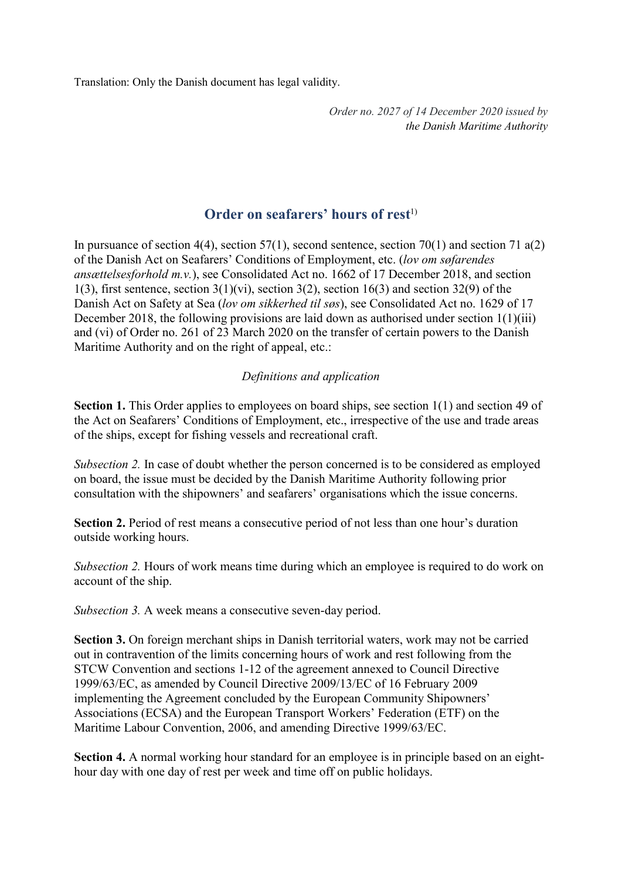Translation: Only the Danish document has legal validity.

*Order no. 2027 of 14 December 2020 issued by the Danish Maritime Authority*

# **Order on seafarers' hours of rest**<sup>1)</sup>

In pursuance of section 4(4), section 57(1), second sentence, section 70(1) and section 71  $a(2)$ of the Danish Act on Seafarers' Conditions of Employment, etc. (*lov om søfarendes ansættelsesforhold m.v.*), see Consolidated Act no. 1662 of 17 December 2018, and section 1(3), first sentence, section  $3(1)(vi)$ , section  $3(2)$ , section 16(3) and section 32(9) of the Danish Act on Safety at Sea (*lov om sikkerhed til søs*), see Consolidated Act no. 1629 of 17 December 2018, the following provisions are laid down as authorised under section 1(1)(iii) and (vi) of Order no. 261 of 23 March 2020 on the transfer of certain powers to the Danish Maritime Authority and on the right of appeal, etc.:

### *Definitions and application*

**Section 1.** This Order applies to employees on board ships, see section 1(1) and section 49 of the Act on Seafarers' Conditions of Employment, etc., irrespective of the use and trade areas of the ships, except for fishing vessels and recreational craft.

*Subsection 2.* In case of doubt whether the person concerned is to be considered as employed on board, the issue must be decided by the Danish Maritime Authority following prior consultation with the shipowners' and seafarers' organisations which the issue concerns.

**Section 2.** Period of rest means a consecutive period of not less than one hour's duration outside working hours.

*Subsection 2.* Hours of work means time during which an employee is required to do work on account of the ship.

*Subsection 3.* A week means a consecutive seven-day period.

**Section 3.** On foreign merchant ships in Danish territorial waters, work may not be carried out in contravention of the limits concerning hours of work and rest following from the STCW Convention and sections 1-12 of the agreement annexed to Council Directive 1999/63/EC, as amended by Council Directive 2009/13/EC of 16 February 2009 implementing the Agreement concluded by the European Community Shipowners' Associations (ECSA) and the European Transport Workers' Federation (ETF) on the Maritime Labour Convention, 2006, and amending Directive 1999/63/EC.

**Section 4.** A normal working hour standard for an employee is in principle based on an eighthour day with one day of rest per week and time off on public holidays.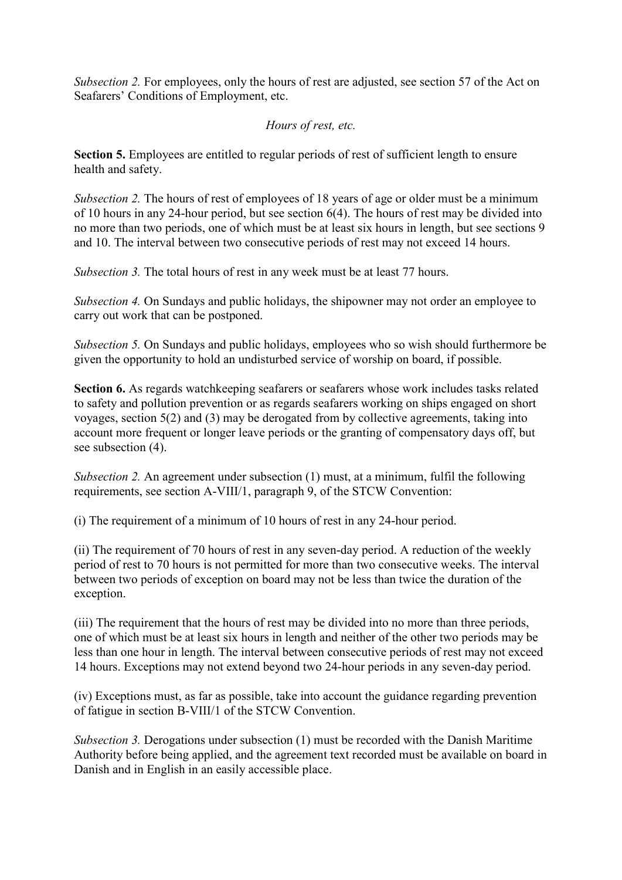*Subsection 2.* For employees, only the hours of rest are adjusted, see section 57 of the Act on Seafarers' Conditions of Employment, etc.

## *Hours of rest, etc.*

**Section 5.** Employees are entitled to regular periods of rest of sufficient length to ensure health and safety.

*Subsection 2.* The hours of rest of employees of 18 years of age or older must be a minimum of 10 hours in any 24-hour period, but see section 6(4). The hours of rest may be divided into no more than two periods, one of which must be at least six hours in length, but see sections 9 and 10. The interval between two consecutive periods of rest may not exceed 14 hours.

*Subsection 3.* The total hours of rest in any week must be at least 77 hours.

*Subsection 4.* On Sundays and public holidays, the shipowner may not order an employee to carry out work that can be postponed.

*Subsection 5.* On Sundays and public holidays, employees who so wish should furthermore be given the opportunity to hold an undisturbed service of worship on board, if possible.

**Section 6.** As regards watchkeeping seafarers or seafarers whose work includes tasks related to safety and pollution prevention or as regards seafarers working on ships engaged on short voyages, section 5(2) and (3) may be derogated from by collective agreements, taking into account more frequent or longer leave periods or the granting of compensatory days off, but see subsection  $(4)$ .

*Subsection 2.* An agreement under subsection (1) must, at a minimum, fulfil the following requirements, see section A-VIII/1, paragraph 9, of the STCW Convention:

(i) The requirement of a minimum of 10 hours of rest in any 24-hour period.

(ii) The requirement of 70 hours of rest in any seven-day period. A reduction of the weekly period of rest to 70 hours is not permitted for more than two consecutive weeks. The interval between two periods of exception on board may not be less than twice the duration of the exception.

(iii) The requirement that the hours of rest may be divided into no more than three periods, one of which must be at least six hours in length and neither of the other two periods may be less than one hour in length. The interval between consecutive periods of rest may not exceed 14 hours. Exceptions may not extend beyond two 24-hour periods in any seven-day period.

(iv) Exceptions must, as far as possible, take into account the guidance regarding prevention of fatigue in section B-VIII/1 of the STCW Convention.

*Subsection 3.* Derogations under subsection (1) must be recorded with the Danish Maritime Authority before being applied, and the agreement text recorded must be available on board in Danish and in English in an easily accessible place.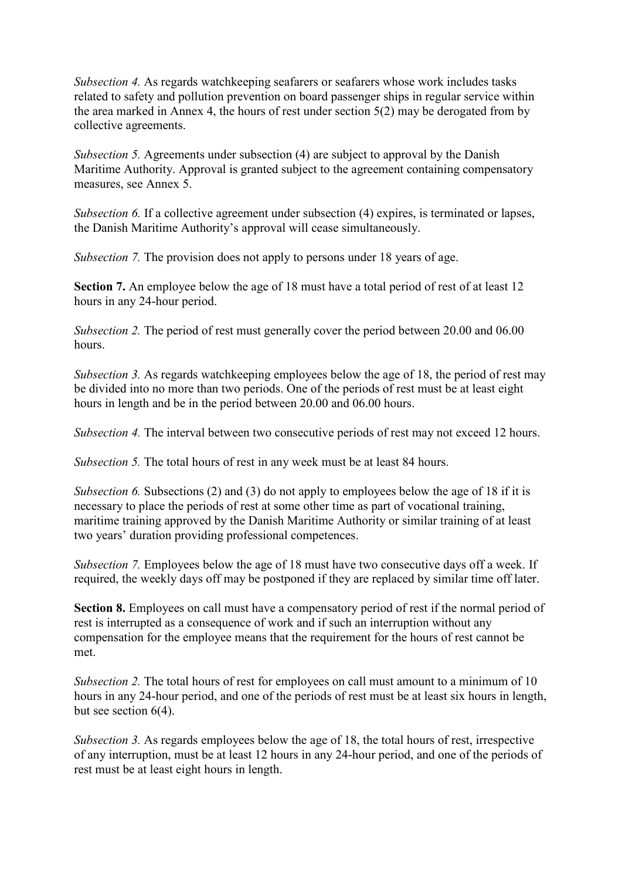*Subsection 4.* As regards watchkeeping seafarers or seafarers whose work includes tasks related to safety and pollution prevention on board passenger ships in regular service within the area marked in Annex 4, the hours of rest under section 5(2) may be derogated from by collective agreements.

*Subsection 5.* Agreements under subsection (4) are subject to approval by the Danish Maritime Authority. Approval is granted subject to the agreement containing compensatory measures, see Annex 5.

*Subsection 6.* If a collective agreement under subsection (4) expires, is terminated or lapses, the Danish Maritime Authority's approval will cease simultaneously.

*Subsection 7.* The provision does not apply to persons under 18 years of age.

**Section 7.** An employee below the age of 18 must have a total period of rest of at least 12 hours in any 24-hour period.

*Subsection 2.* The period of rest must generally cover the period between 20.00 and 06.00 hours.

*Subsection 3.* As regards watchkeeping employees below the age of 18, the period of rest may be divided into no more than two periods. One of the periods of rest must be at least eight hours in length and be in the period between 20.00 and 06.00 hours.

*Subsection 4.* The interval between two consecutive periods of rest may not exceed 12 hours.

*Subsection 5.* The total hours of rest in any week must be at least 84 hours.

*Subsection 6.* Subsections (2) and (3) do not apply to employees below the age of 18 if it is necessary to place the periods of rest at some other time as part of vocational training, maritime training approved by the Danish Maritime Authority or similar training of at least two years' duration providing professional competences.

*Subsection 7.* Employees below the age of 18 must have two consecutive days off a week. If required, the weekly days off may be postponed if they are replaced by similar time off later.

**Section 8.** Employees on call must have a compensatory period of rest if the normal period of rest is interrupted as a consequence of work and if such an interruption without any compensation for the employee means that the requirement for the hours of rest cannot be met.

*Subsection 2.* The total hours of rest for employees on call must amount to a minimum of 10 hours in any 24-hour period, and one of the periods of rest must be at least six hours in length, but see section 6(4).

*Subsection 3.* As regards employees below the age of 18, the total hours of rest, irrespective of any interruption, must be at least 12 hours in any 24-hour period, and one of the periods of rest must be at least eight hours in length.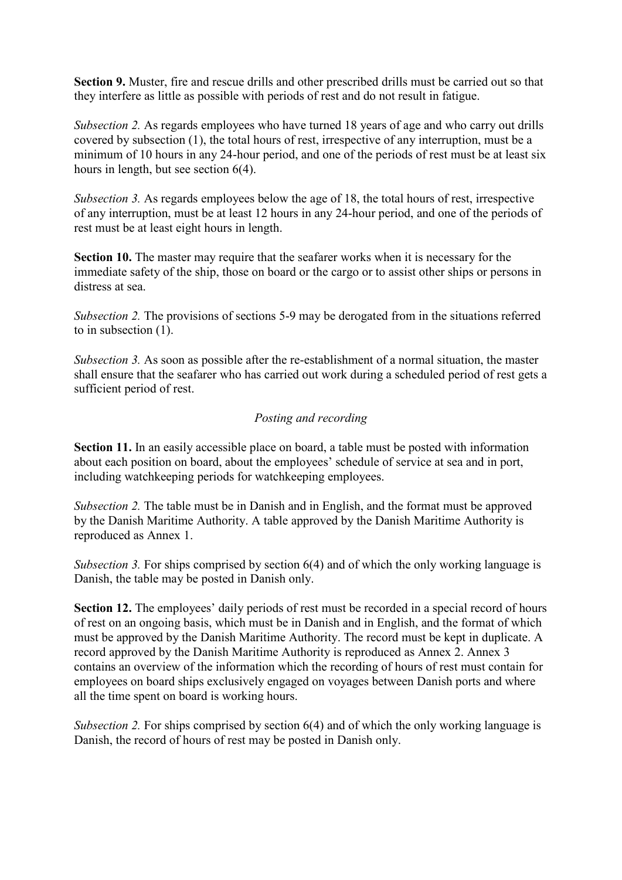**Section 9.** Muster, fire and rescue drills and other prescribed drills must be carried out so that they interfere as little as possible with periods of rest and do not result in fatigue.

*Subsection 2.* As regards employees who have turned 18 years of age and who carry out drills covered by subsection (1), the total hours of rest, irrespective of any interruption, must be a minimum of 10 hours in any 24-hour period, and one of the periods of rest must be at least six hours in length, but see section 6(4).

*Subsection 3.* As regards employees below the age of 18, the total hours of rest, irrespective of any interruption, must be at least 12 hours in any 24-hour period, and one of the periods of rest must be at least eight hours in length.

**Section 10.** The master may require that the seafarer works when it is necessary for the immediate safety of the ship, those on board or the cargo or to assist other ships or persons in distress at sea.

*Subsection 2.* The provisions of sections 5-9 may be derogated from in the situations referred to in subsection (1).

*Subsection 3.* As soon as possible after the re-establishment of a normal situation, the master shall ensure that the seafarer who has carried out work during a scheduled period of rest gets a sufficient period of rest.

### *Posting and recording*

**Section 11.** In an easily accessible place on board, a table must be posted with information about each position on board, about the employees' schedule of service at sea and in port, including watchkeeping periods for watchkeeping employees.

*Subsection 2.* The table must be in Danish and in English, and the format must be approved by the Danish Maritime Authority. A table approved by the Danish Maritime Authority is reproduced as Annex 1.

*Subsection 3.* For ships comprised by section 6(4) and of which the only working language is Danish, the table may be posted in Danish only.

**Section 12.** The employees' daily periods of rest must be recorded in a special record of hours of rest on an ongoing basis, which must be in Danish and in English, and the format of which must be approved by the Danish Maritime Authority. The record must be kept in duplicate. A record approved by the Danish Maritime Authority is reproduced as Annex 2. Annex 3 contains an overview of the information which the recording of hours of rest must contain for employees on board ships exclusively engaged on voyages between Danish ports and where all the time spent on board is working hours.

*Subsection 2.* For ships comprised by section 6(4) and of which the only working language is Danish, the record of hours of rest may be posted in Danish only.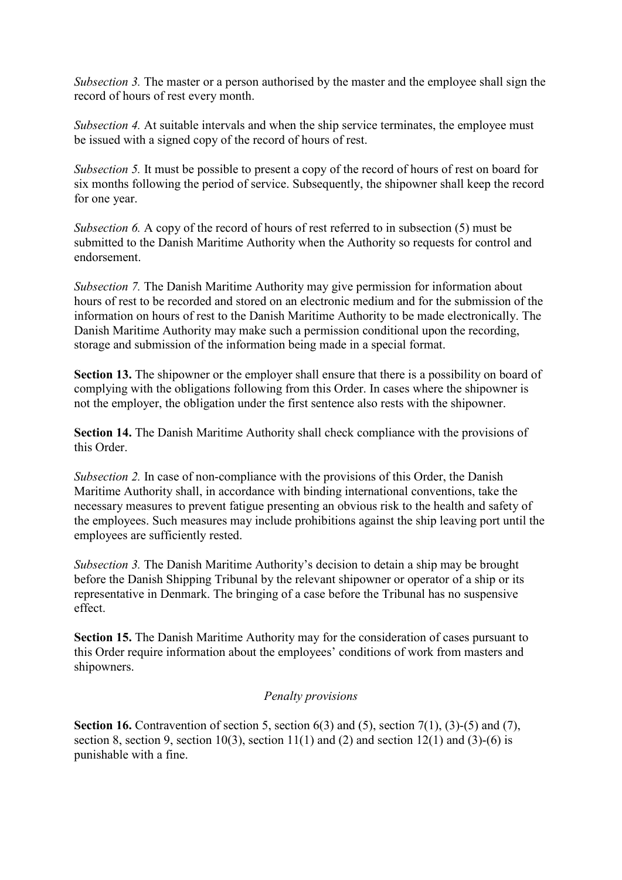*Subsection 3.* The master or a person authorised by the master and the employee shall sign the record of hours of rest every month.

*Subsection 4.* At suitable intervals and when the ship service terminates, the employee must be issued with a signed copy of the record of hours of rest.

*Subsection 5.* It must be possible to present a copy of the record of hours of rest on board for six months following the period of service. Subsequently, the shipowner shall keep the record for one year.

*Subsection 6.* A copy of the record of hours of rest referred to in subsection (5) must be submitted to the Danish Maritime Authority when the Authority so requests for control and endorsement.

*Subsection 7.* The Danish Maritime Authority may give permission for information about hours of rest to be recorded and stored on an electronic medium and for the submission of the information on hours of rest to the Danish Maritime Authority to be made electronically. The Danish Maritime Authority may make such a permission conditional upon the recording, storage and submission of the information being made in a special format.

**Section 13.** The shipowner or the employer shall ensure that there is a possibility on board of complying with the obligations following from this Order. In cases where the shipowner is not the employer, the obligation under the first sentence also rests with the shipowner.

**Section 14.** The Danish Maritime Authority shall check compliance with the provisions of this Order.

*Subsection 2.* In case of non-compliance with the provisions of this Order, the Danish Maritime Authority shall, in accordance with binding international conventions, take the necessary measures to prevent fatigue presenting an obvious risk to the health and safety of the employees. Such measures may include prohibitions against the ship leaving port until the employees are sufficiently rested.

*Subsection 3.* The Danish Maritime Authority's decision to detain a ship may be brought before the Danish Shipping Tribunal by the relevant shipowner or operator of a ship or its representative in Denmark. The bringing of a case before the Tribunal has no suspensive effect.

**Section 15.** The Danish Maritime Authority may for the consideration of cases pursuant to this Order require information about the employees' conditions of work from masters and shipowners.

#### *Penalty provisions*

**Section 16.** Contravention of section 5, section 6(3) and (5), section 7(1), (3)-(5) and (7), section 8, section 9, section 10(3), section 11(1) and (2) and section 12(1) and (3)-(6) is punishable with a fine.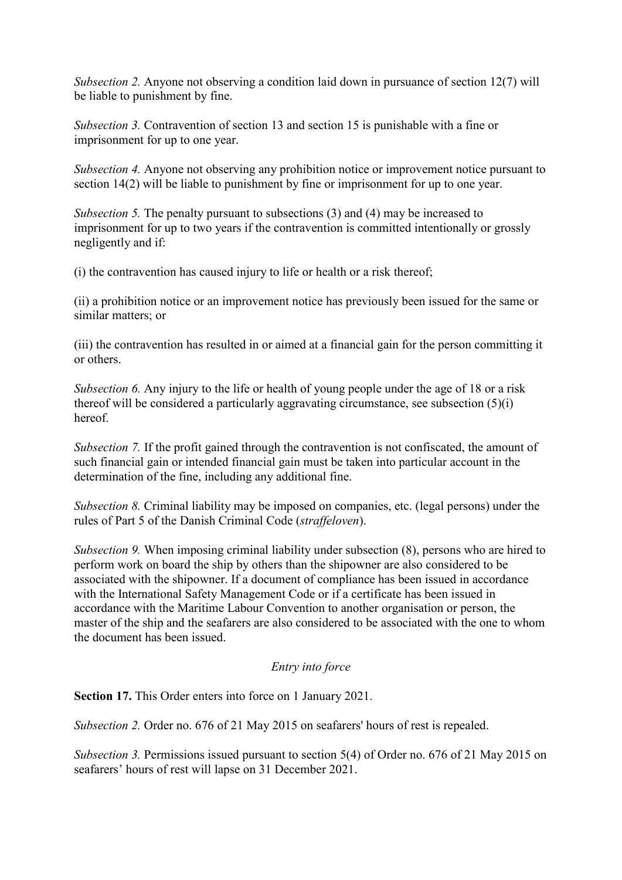*Subsection 2.* Anyone not observing a condition laid down in pursuance of section 12(7) will be liable to punishment by fine.

*Subsection 3.* Contravention of section 13 and section 15 is punishable with a fine or imprisonment for up to one year.

*Subsection 4.* Anyone not observing any prohibition notice or improvement notice pursuant to section 14(2) will be liable to punishment by fine or imprisonment for up to one year.

*Subsection 5.* The penalty pursuant to subsections (3) and (4) may be increased to imprisonment for up to two years if the contravention is committed intentionally or grossly negligently and if:

(i) the contravention has caused injury to life or health or a risk thereof;

(ii) a prohibition notice or an improvement notice has previously been issued for the same or similar matters; or

(iii) the contravention has resulted in or aimed at a financial gain for the person committing it or others.

*Subsection 6.* Any injury to the life or health of young people under the age of 18 or a risk thereof will be considered a particularly aggravating circumstance, see subsection (5)(i) hereof.

*Subsection 7.* If the profit gained through the contravention is not confiscated, the amount of such financial gain or intended financial gain must be taken into particular account in the determination of the fine, including any additional fine.

*Subsection 8.* Criminal liability may be imposed on companies, etc. (legal persons) under the rules of Part 5 of the Danish Criminal Code (*straffeloven*).

*Subsection 9.* When imposing criminal liability under subsection (8), persons who are hired to perform work on board the ship by others than the shipowner are also considered to be associated with the shipowner. If a document of compliance has been issued in accordance with the International Safety Management Code or if a certificate has been issued in accordance with the Maritime Labour Convention to another organisation or person, the master of the ship and the seafarers are also considered to be associated with the one to whom the document has been issued.

### *Entry into force*

**Section 17.** This Order enters into force on 1 January 2021.

*Subsection 2.* Order no. 676 of 21 May 2015 on seafarers' hours of rest is repealed.

*Subsection 3.* Permissions issued pursuant to section 5(4) of Order no. 676 of 21 May 2015 on seafarers' hours of rest will lapse on 31 December 2021.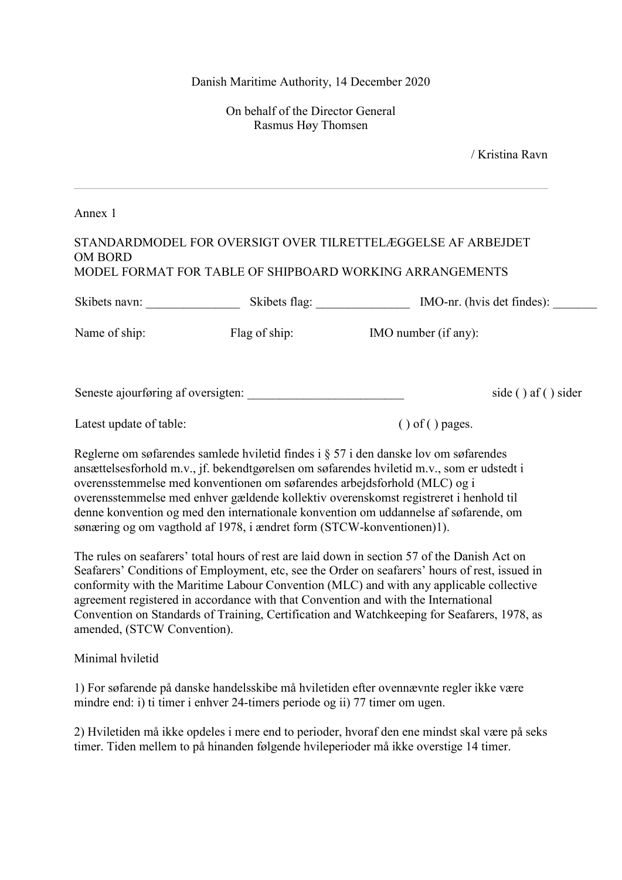On behalf of the Director General Rasmus Høy Thomsen

/ Kristina Ravn

Annex 1

#### STANDARDMODEL FOR OVERSIGT OVER TILRETTELÆGGELSE AF ARBEJDET OM BORD MODEL FORMAT FOR TABLE OF SHIPBOARD WORKING ARRANGEMENTS

Skibets navn: Skibets flag: MO-nr. (hvis det findes):

Name of ship: Flag of ship: Flag of ship: IMO number (if any):

Seneste ajourføring af oversigten: side ( ) af ( ) sider

Latest update of table: (a) of () pages.

Reglerne om søfarendes samlede hviletid findes i § 57 i den danske lov om søfarendes ansættelsesforhold m.v., jf. bekendtgørelsen om søfarendes hviletid m.v., som er udstedt i overensstemmelse med konventionen om søfarendes arbejdsforhold (MLC) og i overensstemmelse med enhver gældende kollektiv overenskomst registreret i henhold til denne konvention og med den internationale konvention om uddannelse af søfarende, om sønæring og om vagthold af 1978, i ændret form (STCW-konventionen)1).

The rules on seafarers' total hours of rest are laid down in section 57 of the Danish Act on Seafarers' Conditions of Employment, etc, see the Order on seafarers' hours of rest, issued in conformity with the Maritime Labour Convention (MLC) and with any applicable collective agreement registered in accordance with that Convention and with the International Convention on Standards of Training, Certification and Watchkeeping for Seafarers, 1978, as amended, (STCW Convention).

Minimal hviletid

1) For søfarende på danske handelsskibe må hviletiden efter ovennævnte regler ikke være mindre end: i) ti timer i enhver 24-timers periode og ii) 77 timer om ugen.

2) Hviletiden må ikke opdeles i mere end to perioder, hvoraf den ene mindst skal være på seks timer. Tiden mellem to på hinanden følgende hvileperioder må ikke overstige 14 timer.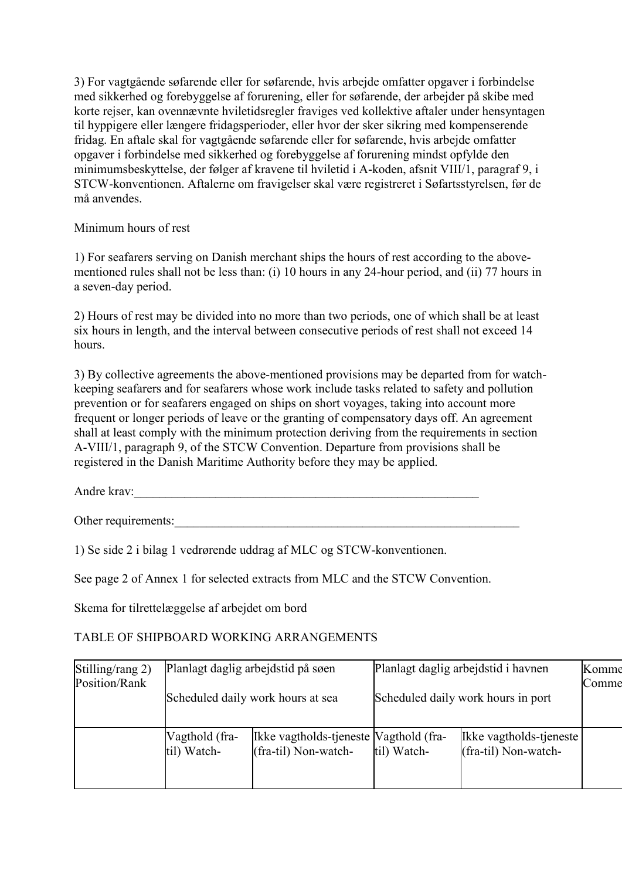3) For vagtgående søfarende eller for søfarende, hvis arbejde omfatter opgaver i forbindelse med sikkerhed og forebyggelse af forurening, eller for søfarende, der arbejder på skibe med korte rejser, kan ovennævnte hviletidsregler fraviges ved kollektive aftaler under hensyntagen til hyppigere eller længere fridagsperioder, eller hvor der sker sikring med kompenserende fridag. En aftale skal for vagtgående søfarende eller for søfarende, hvis arbejde omfatter opgaver i forbindelse med sikkerhed og forebyggelse af forurening mindst opfylde den minimumsbeskyttelse, der følger af kravene til hviletid i A-koden, afsnit VIII/1, paragraf 9, i STCW-konventionen. Aftalerne om fravigelser skal være registreret i Søfartsstyrelsen, før de må anvendes.

#### Minimum hours of rest

1) For seafarers serving on Danish merchant ships the hours of rest according to the abovementioned rules shall not be less than: (i) 10 hours in any 24-hour period, and (ii) 77 hours in a seven-day period.

2) Hours of rest may be divided into no more than two periods, one of which shall be at least six hours in length, and the interval between consecutive periods of rest shall not exceed 14 hours.

3) By collective agreements the above-mentioned provisions may be departed from for watchkeeping seafarers and for seafarers whose work include tasks related to safety and pollution prevention or for seafarers engaged on ships on short voyages, taking into account more frequent or longer periods of leave or the granting of compensatory days off. An agreement shall at least comply with the minimum protection deriving from the requirements in section A-VIII/1, paragraph 9, of the STCW Convention. Departure from provisions shall be registered in the Danish Maritime Authority before they may be applied.

Andre krav:\_\_\_\_\_\_\_\_\_\_\_\_\_\_\_\_\_\_\_\_\_\_\_\_\_\_\_\_\_\_\_\_\_\_\_\_\_\_\_\_\_\_\_\_\_\_\_\_\_\_\_\_\_\_\_

Other requirements:

1) Se side 2 i bilag 1 vedrørende uddrag af MLC og STCW-konventionen.

See page 2 of Annex 1 for selected extracts from MLC and the STCW Convention.

Skema for tilrettelæggelse af arbejdet om bord

### TABLE OF SHIPBOARD WORKING ARRANGEMENTS

| Stilling/rang 2) | Planlagt daglig arbejdstid på søen |                                                                | Planlagt daglig arbejdstid i havnen |                                                   | Komme |
|------------------|------------------------------------|----------------------------------------------------------------|-------------------------------------|---------------------------------------------------|-------|
| Position/Rank    | Scheduled daily work hours at sea  |                                                                | Scheduled daily work hours in port  |                                                   | Comme |
|                  | Vagthold (fra-<br>til) Watch-      | Ikke vagtholds-tjeneste Vagthold (fra-<br>(fra-til) Non-watch- | til) Watch-                         | Ikke vagtholds-tjeneste<br>$(fra-til) Non-watch-$ |       |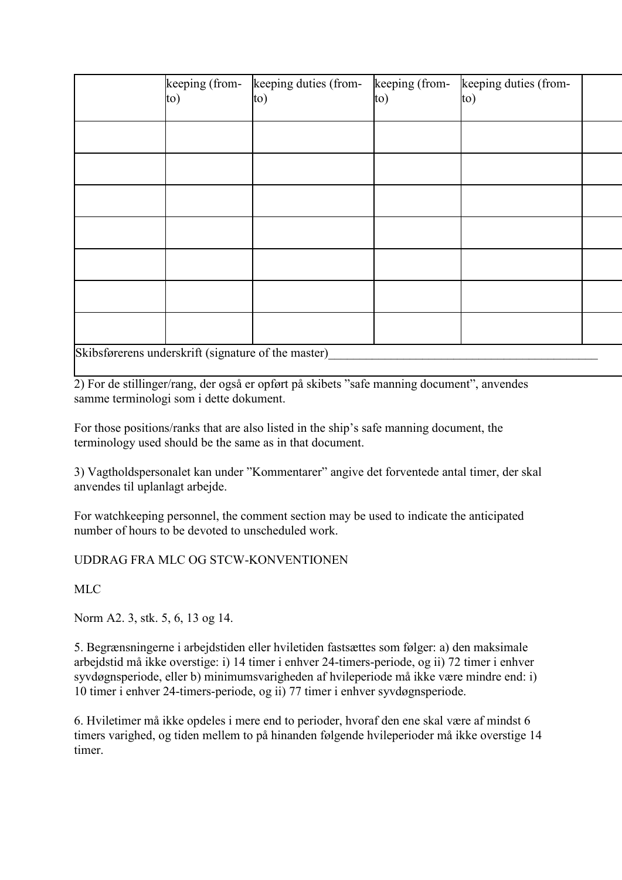|                                                     | to) | keeping (from- keeping duties (from-<br>to) | keeping (from-<br>to) | keeping duties (from-<br>to) |  |  |
|-----------------------------------------------------|-----|---------------------------------------------|-----------------------|------------------------------|--|--|
|                                                     |     |                                             |                       |                              |  |  |
|                                                     |     |                                             |                       |                              |  |  |
|                                                     |     |                                             |                       |                              |  |  |
|                                                     |     |                                             |                       |                              |  |  |
|                                                     |     |                                             |                       |                              |  |  |
|                                                     |     |                                             |                       |                              |  |  |
|                                                     |     |                                             |                       |                              |  |  |
| Skibsførerens underskrift (signature of the master) |     |                                             |                       |                              |  |  |

2) For de stillinger/rang, der også er opført på skibets "safe manning document", anvendes samme terminologi som i dette dokument.

For those positions/ranks that are also listed in the ship's safe manning document, the terminology used should be the same as in that document.

3) Vagtholdspersonalet kan under "Kommentarer" angive det forventede antal timer, der skal anvendes til uplanlagt arbejde.

For watchkeeping personnel, the comment section may be used to indicate the anticipated number of hours to be devoted to unscheduled work.

### UDDRAG FRA MLC OG STCW-KONVENTIONEN

MLC

Norm A2. 3, stk. 5, 6, 13 og 14.

5. Begrænsningerne i arbejdstiden eller hviletiden fastsættes som følger: a) den maksimale arbejdstid må ikke overstige: i) 14 timer i enhver 24-timers-periode, og ii) 72 timer i enhver syvdøgnsperiode, eller b) minimumsvarigheden af hvileperiode må ikke være mindre end: i) 10 timer i enhver 24-timers-periode, og ii) 77 timer i enhver syvdøgnsperiode.

6. Hviletimer må ikke opdeles i mere end to perioder, hvoraf den ene skal være af mindst 6 timers varighed, og tiden mellem to på hinanden følgende hvileperioder må ikke overstige 14 timer.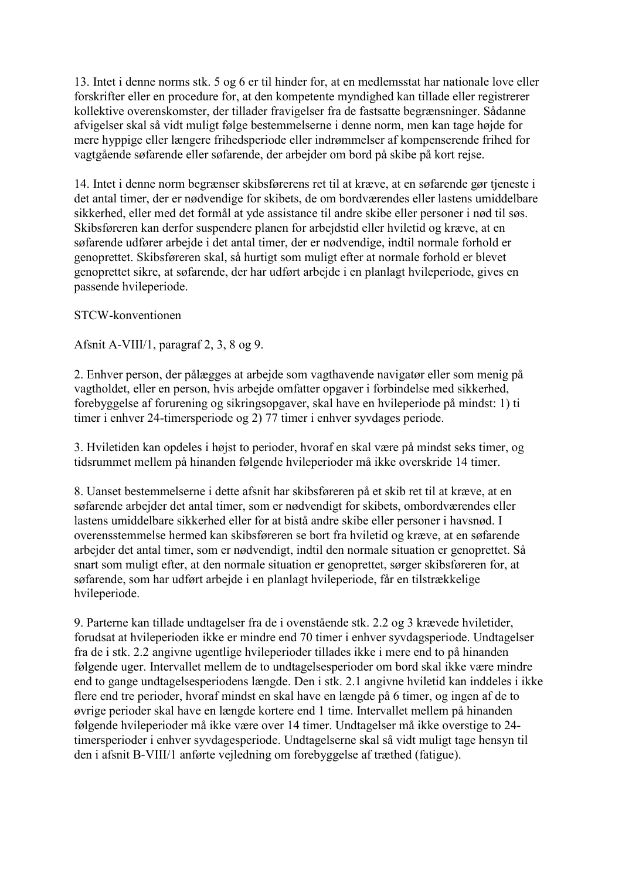13. Intet i denne norms stk. 5 og 6 er til hinder for, at en medlemsstat har nationale love eller forskrifter eller en procedure for, at den kompetente myndighed kan tillade eller registrerer kollektive overenskomster, der tillader fravigelser fra de fastsatte begrænsninger. Sådanne afvigelser skal så vidt muligt følge bestemmelserne i denne norm, men kan tage højde for mere hyppige eller længere frihedsperiode eller indrømmelser af kompenserende frihed for vagtgående søfarende eller søfarende, der arbejder om bord på skibe på kort rejse.

14. Intet i denne norm begrænser skibsførerens ret til at kræve, at en søfarende gør tjeneste i det antal timer, der er nødvendige for skibets, de om bordværendes eller lastens umiddelbare sikkerhed, eller med det formål at yde assistance til andre skibe eller personer i nød til søs. Skibsføreren kan derfor suspendere planen for arbejdstid eller hviletid og kræve, at en søfarende udfører arbejde i det antal timer, der er nødvendige, indtil normale forhold er genoprettet. Skibsføreren skal, så hurtigt som muligt efter at normale forhold er blevet genoprettet sikre, at søfarende, der har udført arbejde i en planlagt hvileperiode, gives en passende hvileperiode.

### STCW-konventionen

Afsnit A-VIII/1, paragraf 2, 3, 8 og 9.

2. Enhver person, der pålægges at arbejde som vagthavende navigatør eller som menig på vagtholdet, eller en person, hvis arbejde omfatter opgaver i forbindelse med sikkerhed, forebyggelse af forurening og sikringsopgaver, skal have en hvileperiode på mindst: 1) ti timer i enhver 24-timersperiode og 2) 77 timer i enhver syvdages periode.

3. Hviletiden kan opdeles i højst to perioder, hvoraf en skal være på mindst seks timer, og tidsrummet mellem på hinanden følgende hvileperioder må ikke overskride 14 timer.

8. Uanset bestemmelserne i dette afsnit har skibsføreren på et skib ret til at kræve, at en søfarende arbejder det antal timer, som er nødvendigt for skibets, ombordværendes eller lastens umiddelbare sikkerhed eller for at bistå andre skibe eller personer i havsnød. I overensstemmelse hermed kan skibsføreren se bort fra hviletid og kræve, at en søfarende arbejder det antal timer, som er nødvendigt, indtil den normale situation er genoprettet. Så snart som muligt efter, at den normale situation er genoprettet, sørger skibsføreren for, at søfarende, som har udført arbejde i en planlagt hvileperiode, får en tilstrækkelige hvileperiode.

9. Parterne kan tillade undtagelser fra de i ovenstående stk. 2.2 og 3 krævede hviletider, forudsat at hvileperioden ikke er mindre end 70 timer i enhver syvdagsperiode. Undtagelser fra de i stk. 2.2 angivne ugentlige hvileperioder tillades ikke i mere end to på hinanden følgende uger. Intervallet mellem de to undtagelsesperioder om bord skal ikke være mindre end to gange undtagelsesperiodens længde. Den i stk. 2.1 angivne hviletid kan inddeles i ikke flere end tre perioder, hvoraf mindst en skal have en længde på 6 timer, og ingen af de to øvrige perioder skal have en længde kortere end 1 time. Intervallet mellem på hinanden følgende hvileperioder må ikke være over 14 timer. Undtagelser må ikke overstige to 24 timersperioder i enhver syvdagesperiode. Undtagelserne skal så vidt muligt tage hensyn til den i afsnit B-VIII/1 anførte vejledning om forebyggelse af træthed (fatigue).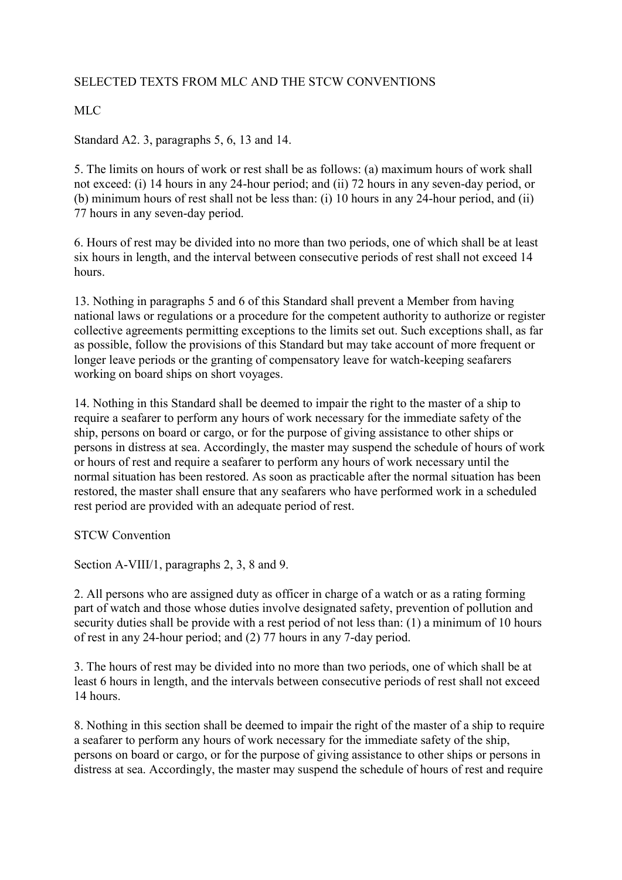# SELECTED TEXTS FROM MLC AND THE STCW CONVENTIONS

# MLC

Standard A2. 3, paragraphs 5, 6, 13 and 14.

5. The limits on hours of work or rest shall be as follows: (a) maximum hours of work shall not exceed: (i) 14 hours in any 24-hour period; and (ii) 72 hours in any seven-day period, or (b) minimum hours of rest shall not be less than: (i) 10 hours in any 24-hour period, and (ii) 77 hours in any seven-day period.

6. Hours of rest may be divided into no more than two periods, one of which shall be at least six hours in length, and the interval between consecutive periods of rest shall not exceed 14 hours.

13. Nothing in paragraphs 5 and 6 of this Standard shall prevent a Member from having national laws or regulations or a procedure for the competent authority to authorize or register collective agreements permitting exceptions to the limits set out. Such exceptions shall, as far as possible, follow the provisions of this Standard but may take account of more frequent or longer leave periods or the granting of compensatory leave for watch-keeping seafarers working on board ships on short voyages.

14. Nothing in this Standard shall be deemed to impair the right to the master of a ship to require a seafarer to perform any hours of work necessary for the immediate safety of the ship, persons on board or cargo, or for the purpose of giving assistance to other ships or persons in distress at sea. Accordingly, the master may suspend the schedule of hours of work or hours of rest and require a seafarer to perform any hours of work necessary until the normal situation has been restored. As soon as practicable after the normal situation has been restored, the master shall ensure that any seafarers who have performed work in a scheduled rest period are provided with an adequate period of rest.

STCW Convention

Section A-VIII/1, paragraphs 2, 3, 8 and 9.

2. All persons who are assigned duty as officer in charge of a watch or as a rating forming part of watch and those whose duties involve designated safety, prevention of pollution and security duties shall be provide with a rest period of not less than: (1) a minimum of 10 hours of rest in any 24-hour period; and (2) 77 hours in any 7-day period.

3. The hours of rest may be divided into no more than two periods, one of which shall be at least 6 hours in length, and the intervals between consecutive periods of rest shall not exceed 14 hours.

8. Nothing in this section shall be deemed to impair the right of the master of a ship to require a seafarer to perform any hours of work necessary for the immediate safety of the ship, persons on board or cargo, or for the purpose of giving assistance to other ships or persons in distress at sea. Accordingly, the master may suspend the schedule of hours of rest and require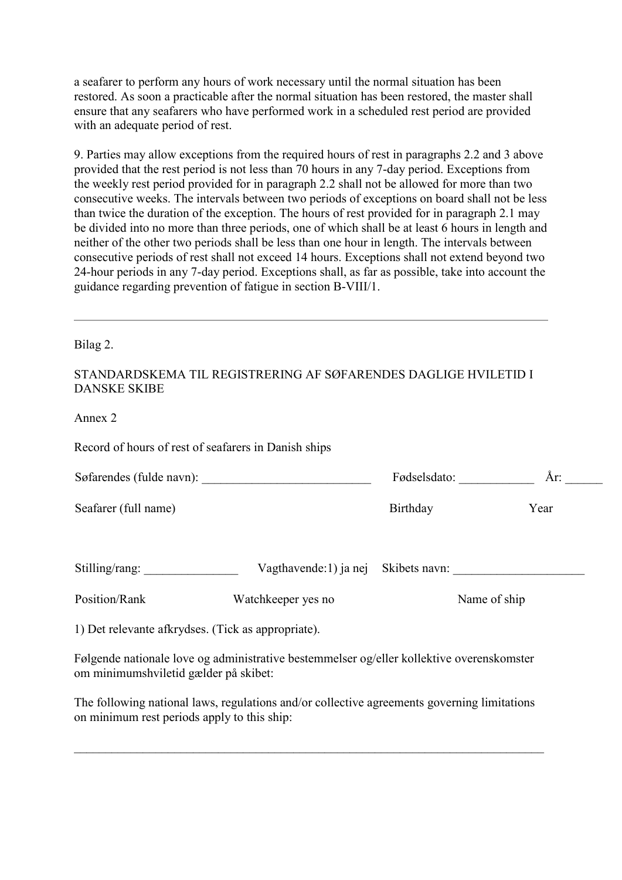a seafarer to perform any hours of work necessary until the normal situation has been restored. As soon a practicable after the normal situation has been restored, the master shall ensure that any seafarers who have performed work in a scheduled rest period are provided with an adequate period of rest.

9. Parties may allow exceptions from the required hours of rest in paragraphs 2.2 and 3 above provided that the rest period is not less than 70 hours in any 7-day period. Exceptions from the weekly rest period provided for in paragraph 2.2 shall not be allowed for more than two consecutive weeks. The intervals between two periods of exceptions on board shall not be less than twice the duration of the exception. The hours of rest provided for in paragraph 2.1 may be divided into no more than three periods, one of which shall be at least 6 hours in length and neither of the other two periods shall be less than one hour in length. The intervals between consecutive periods of rest shall not exceed 14 hours. Exceptions shall not extend beyond two 24-hour periods in any 7-day period. Exceptions shall, as far as possible, take into account the guidance regarding prevention of fatigue in section B-VIII/1.

Bilag 2.

#### STANDARDSKEMA TIL REGISTRERING AF SØFARENDES DAGLIGE HVILETID I DANSKE SKIBE

Annex 2

Record of hours of rest of seafarers in Danish ships

| Søfarendes (fulde navn):                           |                                                                                                 | Fødselsdato:  | År:  |  |
|----------------------------------------------------|-------------------------------------------------------------------------------------------------|---------------|------|--|
| Seafarer (full name)                               |                                                                                                 | Birthday      | Year |  |
| Stilling/rang:                                     | Vagthavende:1) ja nej                                                                           | Skibets navn: |      |  |
| Position/Rank                                      | Watchkeeper yes no                                                                              | Name of ship  |      |  |
| 1) Det relevante afkrydses. (Tick as appropriate). |                                                                                                 |               |      |  |
|                                                    | Externate notionale lavor care durintendive legatement lavor catallen lydistive revenuedramaten |               |      |  |

Følgende nationale love og administrative bestemmelser og/eller kollektive overenskomster om minimumshviletid gælder på skibet:

The following national laws, regulations and/or collective agreements governing limitations on minimum rest periods apply to this ship: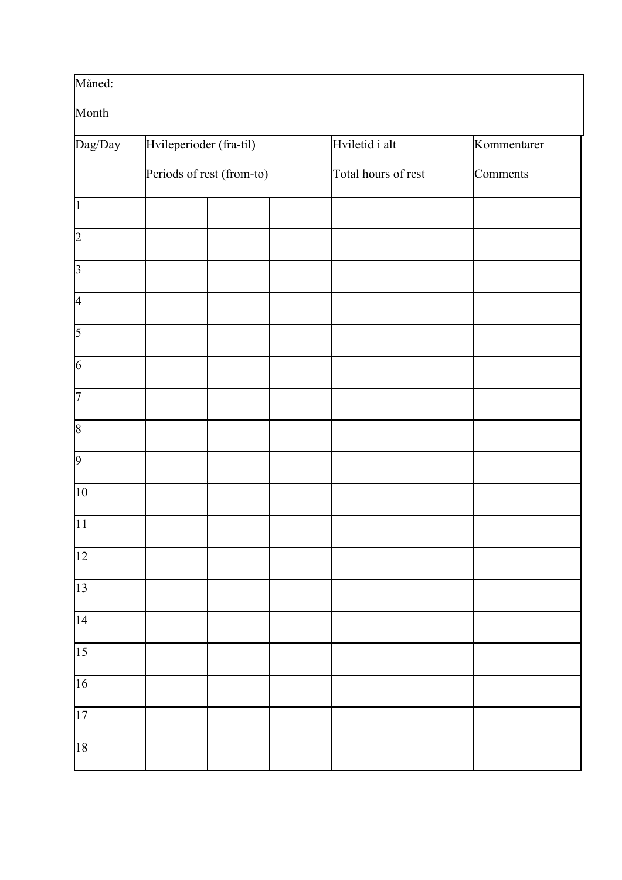| Måned:          |                           |  |  |                     |             |  |  |
|-----------------|---------------------------|--|--|---------------------|-------------|--|--|
| Month           |                           |  |  |                     |             |  |  |
| Dag/Day         | Hvileperioder (fra-til)   |  |  | Hviletid i alt      | Kommentarer |  |  |
|                 | Periods of rest (from-to) |  |  | Total hours of rest | Comments    |  |  |
| $\vert$ 1       |                           |  |  |                     |             |  |  |
| $\overline{2}$  |                           |  |  |                     |             |  |  |
| $\overline{3}$  |                           |  |  |                     |             |  |  |
| $\overline{A}$  |                           |  |  |                     |             |  |  |
| $\overline{5}$  |                           |  |  |                     |             |  |  |
| $\overline{6}$  |                           |  |  |                     |             |  |  |
| $\overline{7}$  |                           |  |  |                     |             |  |  |
| $\overline{8}$  |                           |  |  |                     |             |  |  |
| $\overline{9}$  |                           |  |  |                     |             |  |  |
| 10              |                           |  |  |                     |             |  |  |
| $\overline{11}$ |                           |  |  |                     |             |  |  |
| $\overline{12}$ |                           |  |  |                     |             |  |  |
| $\overline{13}$ |                           |  |  |                     |             |  |  |
| $\overline{14}$ |                           |  |  |                     |             |  |  |
| $\overline{15}$ |                           |  |  |                     |             |  |  |
| $\overline{16}$ |                           |  |  |                     |             |  |  |
| 17              |                           |  |  |                     |             |  |  |
| 18              |                           |  |  |                     |             |  |  |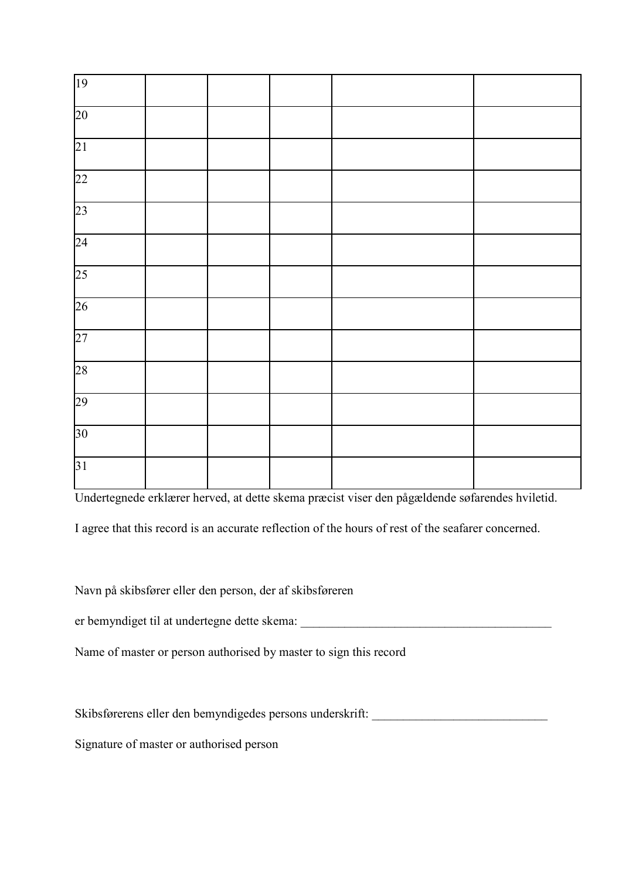| 19              |  |  |  |
|-----------------|--|--|--|
| 20              |  |  |  |
| 21              |  |  |  |
| 22              |  |  |  |
| 23              |  |  |  |
| $\overline{24}$ |  |  |  |
| $\overline{25}$ |  |  |  |
| $\overline{26}$ |  |  |  |
| $\overline{27}$ |  |  |  |
| 28              |  |  |  |
| 29              |  |  |  |
| $30\text{ }$    |  |  |  |
| 31              |  |  |  |

Undertegnede erklærer herved, at dette skema præcist viser den pågældende søfarendes hviletid.

I agree that this record is an accurate reflection of the hours of rest of the seafarer concerned.

Navn på skibsfører eller den person, der af skibsføreren

er bemyndiget til at undertegne dette skema:

Name of master or person authorised by master to sign this record

Skibsførerens eller den bemyndigedes persons underskrift:

Signature of master or authorised person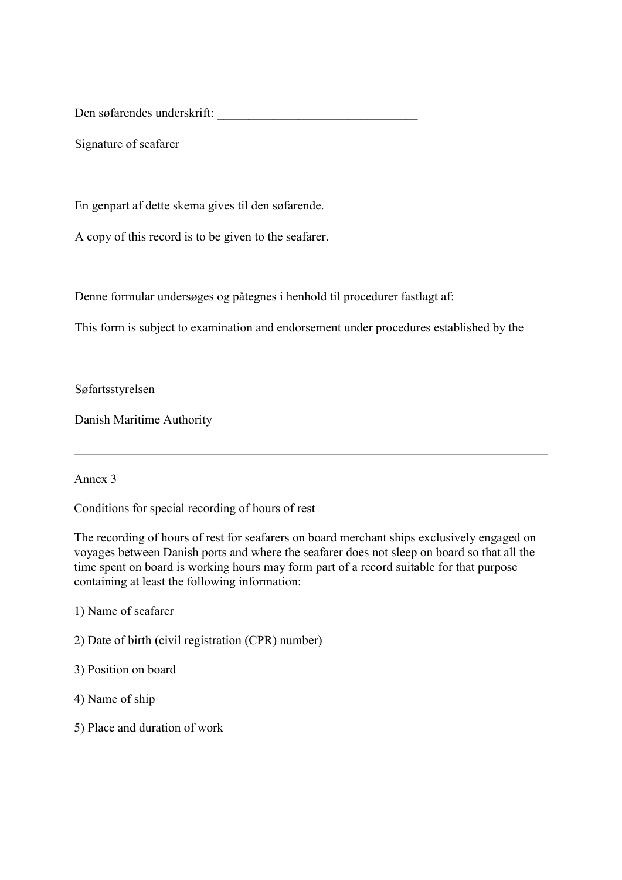Den søfarendes underskrift:

Signature of seafarer

En genpart af dette skema gives til den søfarende.

A copy of this record is to be given to the seafarer.

Denne formular undersøges og påtegnes i henhold til procedurer fastlagt af:

This form is subject to examination and endorsement under procedures established by the

Søfartsstyrelsen

Danish Maritime Authority

#### Annex 3

Conditions for special recording of hours of rest

The recording of hours of rest for seafarers on board merchant ships exclusively engaged on voyages between Danish ports and where the seafarer does not sleep on board so that all the time spent on board is working hours may form part of a record suitable for that purpose containing at least the following information:

1) Name of seafarer

- 2) Date of birth (civil registration (CPR) number)
- 3) Position on board
- 4) Name of ship
- 5) Place and duration of work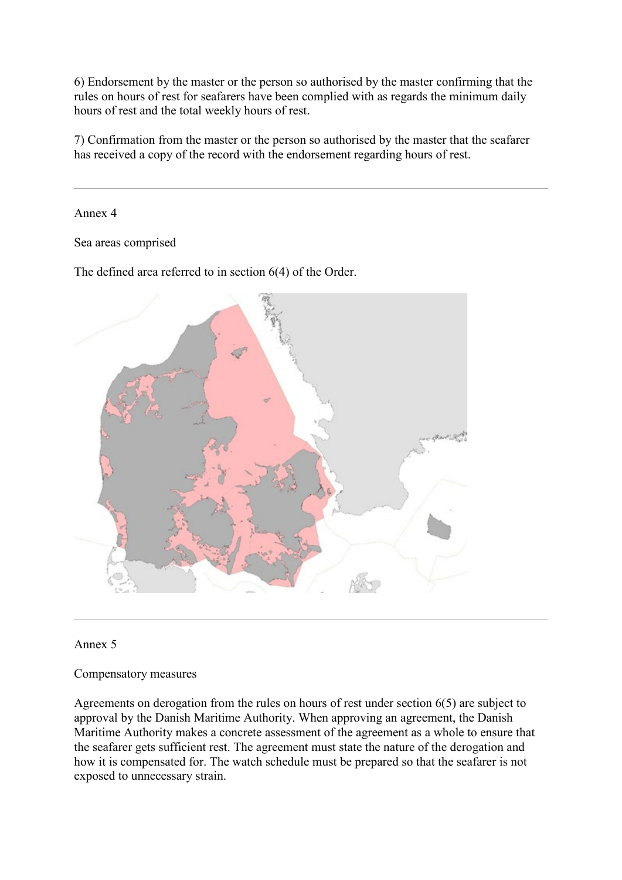6) Endorsement by the master or the person so authorised by the master confirming that the rules on hours of rest for seafarers have been complied with as regards the minimum daily hours of rest and the total weekly hours of rest.

7) Confirmation from the master or the person so authorised by the master that the seafarer has received a copy of the record with the endorsement regarding hours of rest.

Annex 4

Sea areas comprised

The defined area referred to in section 6(4) of the Order.



#### Annex 5

Compensatory measures

Agreements on derogation from the rules on hours of rest under section 6(5) are subject to approval by the Danish Maritime Authority. When approving an agreement, the Danish Maritime Authority makes a concrete assessment of the agreement as a whole to ensure that the seafarer gets sufficient rest. The agreement must state the nature of the derogation and how it is compensated for. The watch schedule must be prepared so that the seafarer is not exposed to unnecessary strain.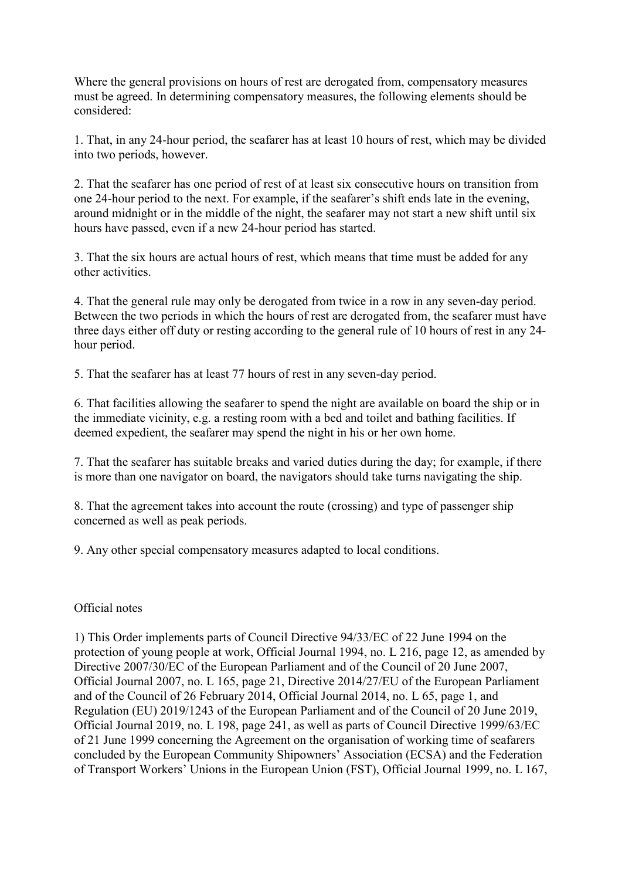Where the general provisions on hours of rest are derogated from, compensatory measures must be agreed. In determining compensatory measures, the following elements should be considered:

1. That, in any 24-hour period, the seafarer has at least 10 hours of rest, which may be divided into two periods, however.

2. That the seafarer has one period of rest of at least six consecutive hours on transition from one 24-hour period to the next. For example, if the seafarer's shift ends late in the evening, around midnight or in the middle of the night, the seafarer may not start a new shift until six hours have passed, even if a new 24-hour period has started.

3. That the six hours are actual hours of rest, which means that time must be added for any other activities.

4. That the general rule may only be derogated from twice in a row in any seven-day period. Between the two periods in which the hours of rest are derogated from, the seafarer must have three days either off duty or resting according to the general rule of 10 hours of rest in any 24 hour period.

5. That the seafarer has at least 77 hours of rest in any seven-day period.

6. That facilities allowing the seafarer to spend the night are available on board the ship or in the immediate vicinity, e.g. a resting room with a bed and toilet and bathing facilities. If deemed expedient, the seafarer may spend the night in his or her own home.

7. That the seafarer has suitable breaks and varied duties during the day; for example, if there is more than one navigator on board, the navigators should take turns navigating the ship.

8. That the agreement takes into account the route (crossing) and type of passenger ship concerned as well as peak periods.

9. Any other special compensatory measures adapted to local conditions.

### Official notes

[1\)](https://www.retsinformation.dk/eli/lta/2020/2027#Henvisning_id8e6ca341-133a-4767-950c-3c22f4cf5284) This Order implements parts of Council Directive 94/33/EC of 22 June 1994 on the protection of young people at work, Official Journal 1994, no. L 216, page 12, as amended by Directive 2007/30/EC of the European Parliament and of the Council of 20 June 2007, Official Journal 2007, no. L 165, page 21, Directive 2014/27/EU of the European Parliament and of the Council of 26 February 2014, Official Journal 2014, no. L 65, page 1, and Regulation (EU) 2019/1243 of the European Parliament and of the Council of 20 June 2019, Official Journal 2019, no. L 198, page 241, as well as parts of Council Directive 1999/63/EC of 21 June 1999 concerning the Agreement on the organisation of working time of seafarers concluded by the European Community Shipowners' Association (ECSA) and the Federation of Transport Workers' Unions in the European Union (FST), Official Journal 1999, no. L 167,